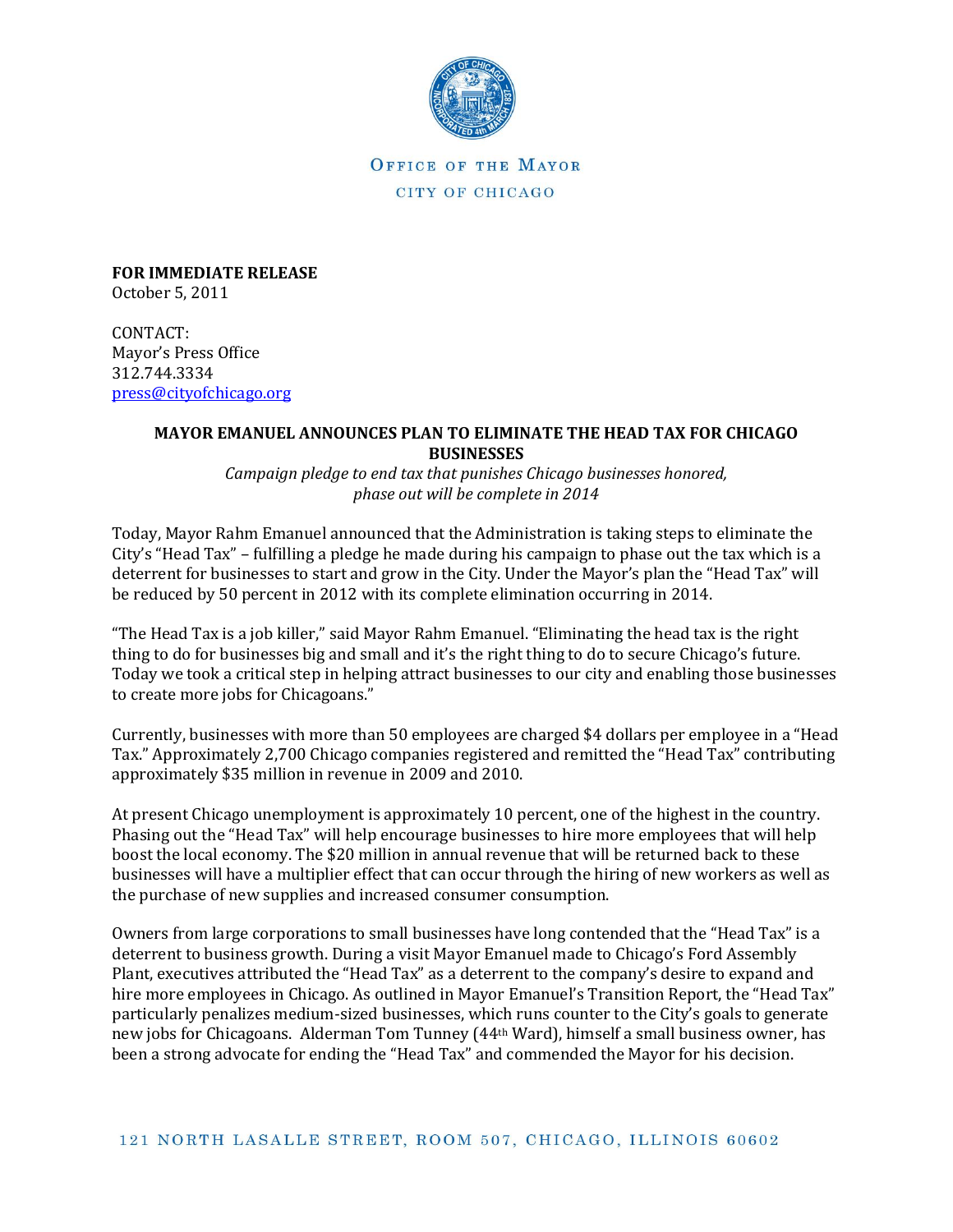

OFFICE OF THE MAYOR CITY OF CHICAGO

**FOR IMMEDIATE RELEASE** October 5, 2011

CONTACT: Mayor's Press Office 312.744.3334 [press@cityofchicago.org](mailto:press@cityofchicago.org)

## **MAYOR EMANUEL ANNOUNCES PLAN TO ELIMINATE THE HEAD TAX FOR CHICAGO BUSINESSES**

*Campaign pledge to end tax that punishes Chicago businesses honored, phase out will be complete in 2014*

Today, Mayor Rahm Emanuel announced that the Administration is taking steps to eliminate the City's "Head Tax" – fulfilling a pledge he made during his campaign to phase out the tax which is a deterrent for businesses to start and grow in the City. Under the Mayor's plan the "Head Tax" will be reduced by 50 percent in 2012 with its complete elimination occurring in 2014.

"The Head Tax is a job killer," said Mayor Rahm Emanuel. "Eliminating the head tax is the right thing to do for businesses big and small and it's the right thing to do to secure Chicago's future. Today we took a critical step in helping attract businesses to our city and enabling those businesses to create more jobs for Chicagoans."

Currently, businesses with more than 50 employees are charged \$4 dollars per employee in a "Head Tax." Approximately 2,700 Chicago companies registered and remitted the "Head Tax" contributing approximately \$35 million in revenue in 2009 and 2010.

At present Chicago unemployment is approximately 10 percent, one of the highest in the country. Phasing out the "Head Tax" will help encourage businesses to hire more employees that will help boost the local economy. The \$20 million in annual revenue that will be returned back to these businesses will have a multiplier effect that can occur through the hiring of new workers as well as the purchase of new supplies and increased consumer consumption.

Owners from large corporations to small businesses have long contended that the "Head Tax" is a deterrent to business growth. During a visit Mayor Emanuel made to Chicago's Ford Assembly Plant, executives attributed the "Head Tax" as a deterrent to the company's desire to expand and hire more employees in Chicago. As outlined in Mayor Emanuel's Transition Report, the "Head Tax" particularly penalizes medium-sized businesses, which runs counter to the City's goals to generate new jobs for Chicagoans. Alderman Tom Tunney (44th Ward), himself a small business owner, has been a strong advocate for ending the "Head Tax" and commended the Mayor for his decision.